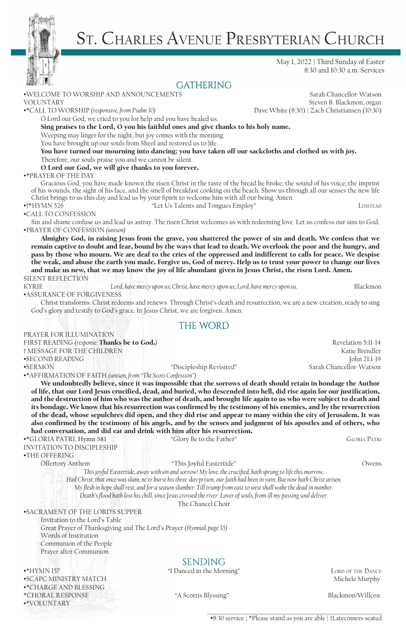

# St. Charles Avenue Presbyterian Church

May 1, 2022 | Third Sunday of Easter 8:30 and 10:30 a.m. Services

## **GATHERING**

•WELCOME TO WORSHIP AND ANNOUNCEMENTS Sarah Chancellor-Watson VOLUNTARY Steven B. Blackmon, organ •\*CALL TO WORSHIP *(responsive, from Psalm 30)* Dave White (8:30) | Zach Christiansen (10:30) O Lord our God, we cried to you for help and you have healed us. Sing praises to the Lord, O you his faithful ones and give thanks to his holy name. Weeping may linger for the night, but joy comes with the morning. You have brought up our souls from Sheol and restored us to life. You have turned our mourning into dancing; you have taken off our sackcloths and clothed us with joy. Therefore, our souls praise you and we cannot be silent. O Lord our God, we will give thanks to you forever. •\*PRAYER OF THE DAY Gracious God, you have made known the risen Christ in the taste of the bread he broke, the sound of his voice, the imprint of his wounds, the sight of his face, and the smell of breakfast cooking on the beach. Show us through all our senses the new life Christ brings to us this day and lead us by your Spirit to welcome him with all our being. Amen. •†\*HYMN 526 "Let Us Talents and Tongues Employ" Linstead •CALL TO CONFESSION Sin and shame confuse us and lead us astray. The risen Christ welcomes us with redeeming love. Let us confess our sins to God. •PRAYER OF CONFESSION *(unison)* Almighty God, in raising Jesus from the grave, you shattered the power of sin and death. We confess that we remain captive to doubt and fear, bound by the ways that lead to death. We overlook the poor and the hungry, and pass by those who mourn. We are deaf to the cries of the oppressed and indifferent to calls for peace. We despise the weak, and abuse the earth you made. Forgive us, God of mercy. Help us to trust your power to change our lives and make us new, that we may know the joy of life abundant given in Jesus Christ, the risen Lord. Amen. SILENT REFLECTION

KYRIE *Lord, have mercy upon us; Christ, have mercy upon us; Lord, have mercy upon us.* Blackmon •ASSURANCE OF FORGIVENESS

Christ transforms. Christ redeems and renews. Through Christ's death and resurrection, we are a new creation, ready to sing God's glory and testify to God's grace. In Jesus Christ, we are forgiven. Amen.

#### the word

FIRST READING *(response:* **Thanks be to God.)** Revelation 5:11-14 † MESSAGE FOR THE CHILDREN Katie Brendler •SECOND READING John 21:1-19 •SERMON "Discipleship Revisited" •\*AFFIRMATION OF FAITH *(unison, from "The Scots Confession")*

We undoubtedly believe, since it was impossible that the sorrows of death should retain in bondage the Author of life, that our Lord Jesus crucified, dead, and buried, who descended into hell, did rise again for our justification, and the destruction of him who was the author of death, and brought life again to us who were subject to death and its bondage. We know that his resurrection was confirmed by the testimony of his enemies, and by the resurrection of the dead, whose sepulchres did open, and they did rise and appear to many within the city of Jerusalem. It was also confirmed by the testimony of his angels, and by the senses and judgment of his apostles and of others, who had conversation, and did eat and drink with him after his resurrection.

•\*GLORIA PATRI, Hymn 581 "Glory Be to the Father" Gloria Patri

PRAYER FOR ILLUMINATION

INVITATION TO DISCIPLESHIP

•THE OFFERING

Offertory Anthem "This Joyful Eastertide" Owens

*This joyful Eastertide, away with sin and sorrow! My love, the crucified, hath sprung to life this morrow. Had Christ, that once was slain, ne'er burst his three-day prison, our faith had been in vain: But now hath Christ arisen. My flesh in hope shall rest, and for a season slumber: Till trump from east to west shall wake the dead in number.*

*Death's flood hath lost his chill, since Jesus crossed the river: Lover of souls, from ill my passing soul deliver.*

The Chancel Choir

#### •SACRAMENT OF THE LORD'S SUPPER

Invitation to the Lord's Table Great Prayer of Thanksgiving and The Lord's Prayer *(Hymnal, page 35)* Words of Institution Communion of the People

#### Prayer after Communion

#### •\*HYMN 157 LORD OF THE DANCE THE DANCE THE DANCE THE DANCE THE DANCE THE DANCE THE DANCE •SCAPC MINISTRY MATCH Michele Murphy •\*CHARGE AND BLESSING \*CHORAL RESPONSE "A Scottis Blyssing" Blackmon/Willcox •\*VOLUNTARY

# **SENDING**